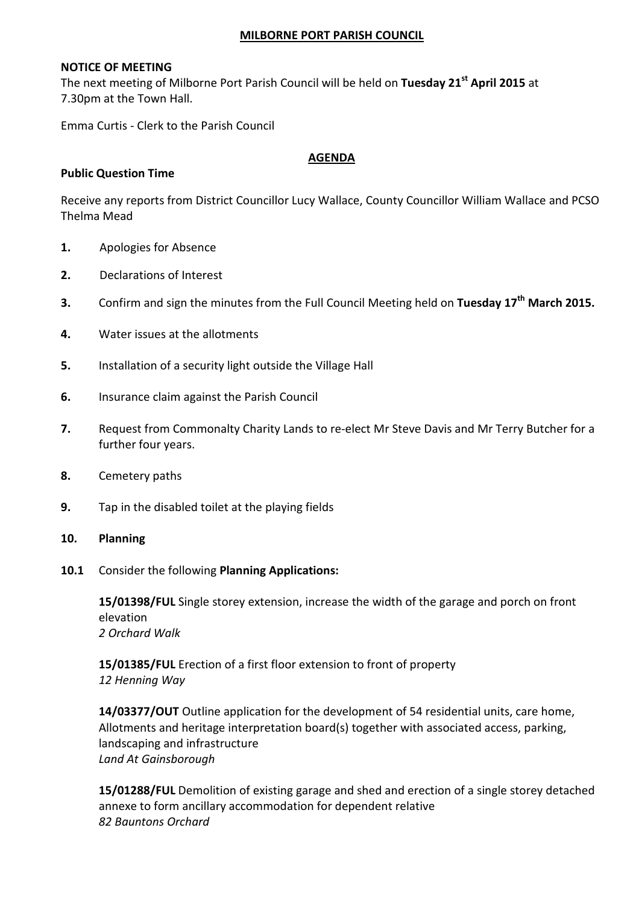#### MILBORNE PORT PARISH COUNCIL

### NOTICE OF MEETING

The next meeting of Milborne Port Parish Council will be held on Tuesday 21<sup>st</sup> April 2015 at 7.30pm at the Town Hall.

Emma Curtis - Clerk to the Parish Council

### AGENDA

## Public Question Time

Receive any reports from District Councillor Lucy Wallace, County Councillor William Wallace and PCSO Thelma Mead

- 1. Apologies for Absence
- 2. Declarations of Interest
- 3. Confirm and sign the minutes from the Full Council Meeting held on Tuesday 17<sup>th</sup> March 2015.
- 4. Water issues at the allotments
- 5. Installation of a security light outside the Village Hall
- 6. Insurance claim against the Parish Council
- 7. Request from Commonalty Charity Lands to re-elect Mr Steve Davis and Mr Terry Butcher for a further four years.
- 8. Cemetery paths
- 9. Tap in the disabled toilet at the playing fields
- 10. Planning
- 10.1 Consider the following Planning Applications:

 15/01398/FUL Single storey extension, increase the width of the garage and porch on front elevation 2 Orchard Walk

15/01385/FUL Erection of a first floor extension to front of property 12 Henning Way

14/03377/OUT Outline application for the development of 54 residential units, care home, Allotments and heritage interpretation board(s) together with associated access, parking, landscaping and infrastructure Land At Gainsborough

15/01288/FUL Demolition of existing garage and shed and erection of a single storey detached annexe to form ancillary accommodation for dependent relative 82 Bauntons Orchard